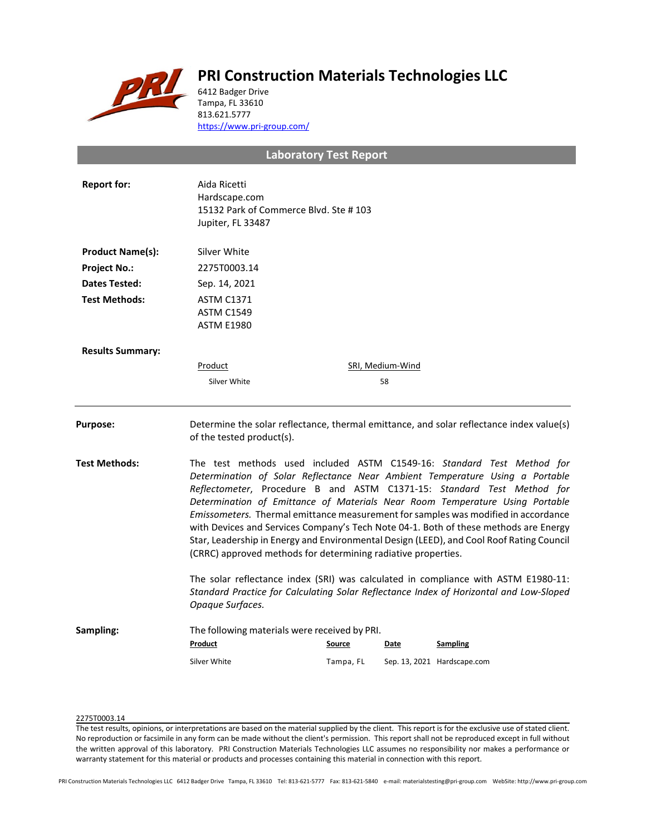

# **PRI Construction Materials Technologies LLC**

6412 Badger Drive Tampa, FL 33610 813.621.5777 <https://www.pri-group.com/>

# **Laboratory Test Report**

| <b>Report for:</b>      | Aida Ricetti<br>Hardscape.com<br>15132 Park of Commerce Blvd. Ste #103<br>Jupiter, FL 33487                                                                                                                                                                                                                                                                                                                                                                                                                                                                                                                                                                 |           |                  |                                                                                          |  |  |
|-------------------------|-------------------------------------------------------------------------------------------------------------------------------------------------------------------------------------------------------------------------------------------------------------------------------------------------------------------------------------------------------------------------------------------------------------------------------------------------------------------------------------------------------------------------------------------------------------------------------------------------------------------------------------------------------------|-----------|------------------|------------------------------------------------------------------------------------------|--|--|
| <b>Product Name(s):</b> | Silver White                                                                                                                                                                                                                                                                                                                                                                                                                                                                                                                                                                                                                                                |           |                  |                                                                                          |  |  |
| <b>Project No.:</b>     | 2275T0003.14                                                                                                                                                                                                                                                                                                                                                                                                                                                                                                                                                                                                                                                |           |                  |                                                                                          |  |  |
| <b>Dates Tested:</b>    | Sep. 14, 2021                                                                                                                                                                                                                                                                                                                                                                                                                                                                                                                                                                                                                                               |           |                  |                                                                                          |  |  |
| <b>Test Methods:</b>    | <b>ASTM C1371</b><br><b>ASTM C1549</b><br><b>ASTM E1980</b>                                                                                                                                                                                                                                                                                                                                                                                                                                                                                                                                                                                                 |           |                  |                                                                                          |  |  |
| <b>Results Summary:</b> |                                                                                                                                                                                                                                                                                                                                                                                                                                                                                                                                                                                                                                                             |           |                  |                                                                                          |  |  |
|                         | Product                                                                                                                                                                                                                                                                                                                                                                                                                                                                                                                                                                                                                                                     |           | SRI, Medium-Wind |                                                                                          |  |  |
|                         | Silver White                                                                                                                                                                                                                                                                                                                                                                                                                                                                                                                                                                                                                                                |           | 58               |                                                                                          |  |  |
| <b>Purpose:</b>         | of the tested product(s).                                                                                                                                                                                                                                                                                                                                                                                                                                                                                                                                                                                                                                   |           |                  | Determine the solar reflectance, thermal emittance, and solar reflectance index value(s) |  |  |
| <b>Test Methods:</b>    | The test methods used included ASTM C1549-16: Standard Test Method for<br>Determination of Solar Reflectance Near Ambient Temperature Using a Portable<br>Reflectometer, Procedure B and ASTM C1371-15: Standard Test Method for<br>Determination of Emittance of Materials Near Room Temperature Using Portable<br>Emissometers. Thermal emittance measurement for samples was modified in accordance<br>with Devices and Services Company's Tech Note 04-1. Both of these methods are Energy<br>Star, Leadership in Energy and Environmental Design (LEED), and Cool Roof Rating Council<br>(CRRC) approved methods for determining radiative properties. |           |                  |                                                                                          |  |  |
|                         | The solar reflectance index (SRI) was calculated in compliance with ASTM E1980-11:<br>Standard Practice for Calculating Solar Reflectance Index of Horizontal and Low-Sloped<br>Opaque Surfaces.                                                                                                                                                                                                                                                                                                                                                                                                                                                            |           |                  |                                                                                          |  |  |
| Sampling:               | The following materials were received by PRI.                                                                                                                                                                                                                                                                                                                                                                                                                                                                                                                                                                                                               |           |                  |                                                                                          |  |  |
|                         | Product                                                                                                                                                                                                                                                                                                                                                                                                                                                                                                                                                                                                                                                     | Source    | Date             | <b>Sampling</b>                                                                          |  |  |
|                         | Silver White                                                                                                                                                                                                                                                                                                                                                                                                                                                                                                                                                                                                                                                | Tampa, FL |                  | Sep. 13, 2021 Hardscape.com                                                              |  |  |
|                         |                                                                                                                                                                                                                                                                                                                                                                                                                                                                                                                                                                                                                                                             |           |                  |                                                                                          |  |  |

## 2275T0003.14

The test results, opinions, or interpretations are based on the material supplied by the client. This report is for the exclusive use of stated client. No reproduction or facsimile in any form can be made without the client's permission. This report shall not be reproduced except in full without the written approval of this laboratory. PRI Construction Materials Technologies LLC assumes no responsibility nor makes a performance or warranty statement for this material or products and processes containing this material in connection with this report.

PRI Construction Materials Technologies LLC 6412 Badger Drive Tampa, FL 33610 Tel: 813-621-5777 Fax: 813-621-5840 e-mail: materialstesting@pri-group.com WebSite: http://www.pri-group.com